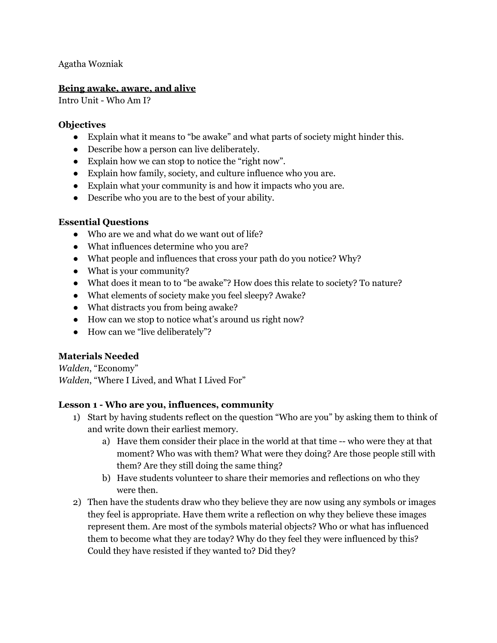Agatha Wozniak

#### **Being awake, aware, and alive**

Intro Unit - Who Am I?

### **Objectives**

- Explain what it means to "be awake" and what parts of society might hinder this.
- Describe how a person can live deliberately.
- Explain how we can stop to notice the "right now".
- Explain how family, society, and culture influence who you are.
- Explain what your community is and how it impacts who you are.
- Describe who you are to the best of your ability.

### **Essential Questions**

- Who are we and what do we want out of life?
- What influences determine who you are?
- What people and influences that cross your path do you notice? Why?
- What is your community?
- What does it mean to to "be awake"? How does this relate to society? To nature?
- What elements of society make you feel sleepy? Awake?
- What distracts you from being awake?
- How can we stop to notice what's around us right now?
- How can we "live deliberately"?

# **Materials Needed**

*Walden*, "Economy" *Walden*, "Where I Lived, and What I Lived For"

## **Lesson 1 - Who are you, influences, community**

- 1) Start by having students reflect on the question "Who are you" by asking them to think of and write down their earliest memory.
	- a) Have them consider their place in the world at that time -- who were they at that moment? Who was with them? What were they doing? Are those people still with them? Are they still doing the same thing?
	- b) Have students volunteer to share their memories and reflections on who they were then.
- 2) Then have the students draw who they believe they are now using any symbols or images they feel is appropriate. Have them write a reflection on why they believe these images represent them. Are most of the symbols material objects? Who or what has influenced them to become what they are today? Why do they feel they were influenced by this? Could they have resisted if they wanted to? Did they?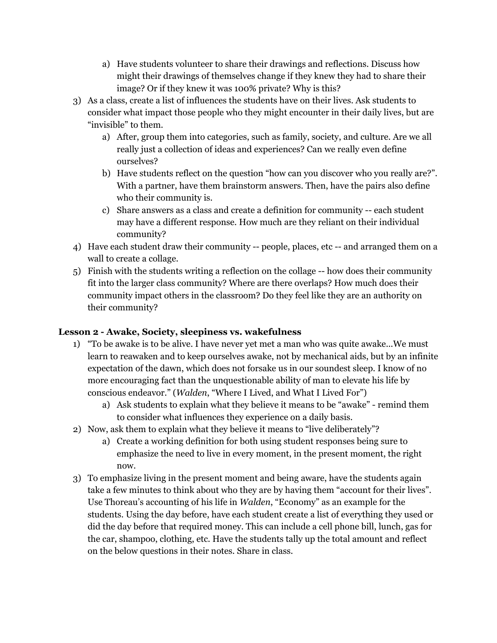- a) Have students volunteer to share their drawings and reflections. Discuss how might their drawings of themselves change if they knew they had to share their image? Or if they knew it was 100% private? Why is this?
- 3) As a class, create a list of influences the students have on their lives. Ask students to consider what impact those people who they might encounter in their daily lives, but are "invisible" to them.
	- a) After, group them into categories, such as family, society, and culture. Are we all really just a collection of ideas and experiences? Can we really even define ourselves?
	- b) Have students reflect on the question "how can you discover who you really are?". With a partner, have them brainstorm answers. Then, have the pairs also define who their community is.
	- c) Share answers as a class and create a definition for community -- each student may have a different response. How much are they reliant on their individual community?
- 4) Have each student draw their community -- people, places, etc -- and arranged them on a wall to create a collage.
- 5) Finish with the students writing a reflection on the collage -- how does their community fit into the larger class community? Where are there overlaps? How much does their community impact others in the classroom? Do they feel like they are an authority on their community?

## **Lesson 2 - Awake, Society, sleepiness vs. wakefulness**

- 1) "To be awake is to be alive. I have never yet met a man who was quite awake...We must learn to reawaken and to keep ourselves awake, not by mechanical aids, but by an infinite expectation of the dawn, which does not forsake us in our soundest sleep. I know of no more encouraging fact than the unquestionable ability of man to elevate his life by conscious endeavor." (*Walden*, "Where I Lived, and What I Lived For")
	- a) Ask students to explain what they believe it means to be "awake" remind them to consider what influences they experience on a daily basis.
- 2) Now, ask them to explain what they believe it means to "live deliberately"?
	- a) Create a working definition for both using student responses being sure to emphasize the need to live in every moment, in the present moment, the right now.
- 3) To emphasize living in the present moment and being aware, have the students again take a few minutes to think about who they are by having them "account for their lives". Use Thoreau's accounting of his life in *Walden*, "Economy" as an example for the students. Using the day before, have each student create a list of everything they used or did the day before that required money. This can include a cell phone bill, lunch, gas for the car, shampoo, clothing, etc. Have the students tally up the total amount and reflect on the below questions in their notes. Share in class.